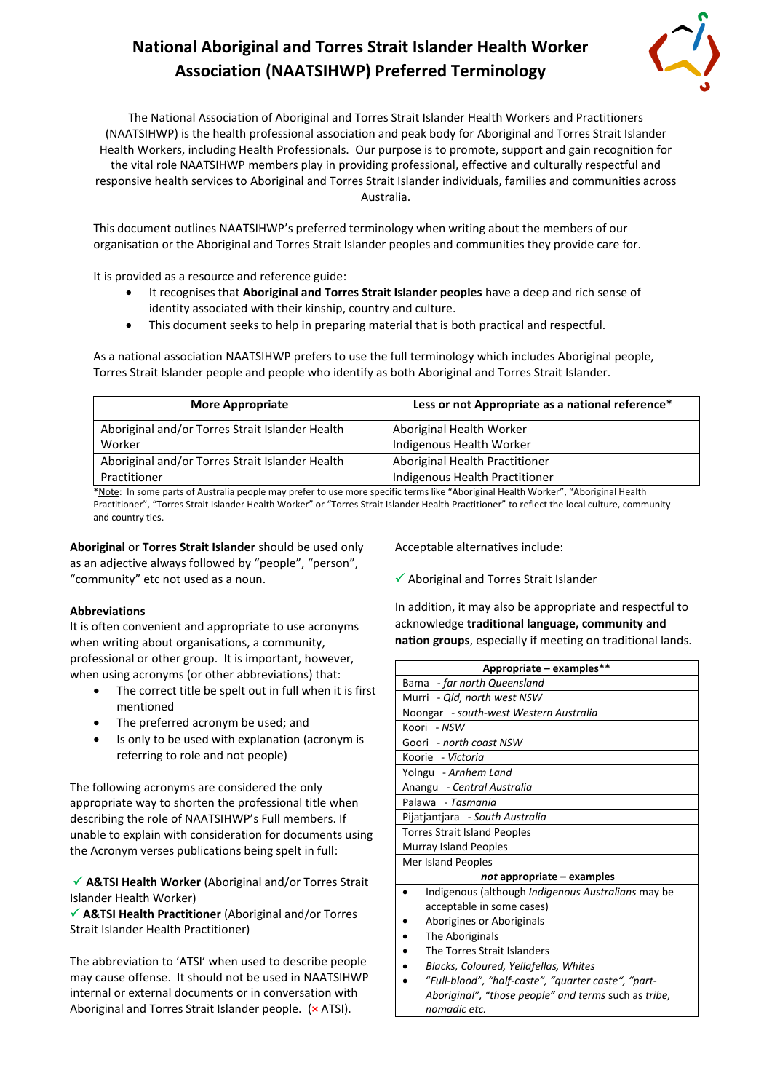# **National Aboriginal and Torres Strait Islander Health Worker Association (NAATSIHWP) Preferred Terminology**



The National Association of Aboriginal and Torres Strait Islander Health Workers and Practitioners (NAATSIHWP) is the health professional association and peak body for Aboriginal and Torres Strait Islander Health Workers, including Health Professionals. Our purpose is to promote, support and gain recognition for the vital role NAATSIHWP members play in providing professional, effective and culturally respectful and responsive health services to Aboriginal and Torres Strait Islander individuals, families and communities across Australia.

This document outlines NAATSIHWP's preferred terminology when writing about the members of our organisation or the Aboriginal and Torres Strait Islander peoples and communities they provide care for.

It is provided as a resource and reference guide:

- It recognises that **Aboriginal and Torres Strait Islander peoples** have a deep and rich sense of identity associated with their kinship, country and culture.
- This document seeks to help in preparing material that is both practical and respectful.

As a national association NAATSIHWP prefers to use the full terminology which includes Aboriginal people, Torres Strait Islander people and people who identify as both Aboriginal and Torres Strait Islander.

| <b>More Appropriate</b>                         | Less or not Appropriate as a national reference* |
|-------------------------------------------------|--------------------------------------------------|
| Aboriginal and/or Torres Strait Islander Health | Aboriginal Health Worker                         |
| Worker                                          | Indigenous Health Worker                         |
| Aboriginal and/or Torres Strait Islander Health | Aboriginal Health Practitioner                   |
| Practitioner                                    | Indigenous Health Practitioner                   |

\*Note: In some parts of Australia people may prefer to use more specific terms like "Aboriginal Health Worker", "Aboriginal Health Practitioner", "Torres Strait Islander Health Worker" or "Torres Strait Islander Health Practitioner" to reflect the local culture, community and country ties.

**Aboriginal** or **Torres Strait Islander** should be used only as an adjective always followed by "people", "person", "community" etc not used as a noun.

## **Abbreviations**

It is often convenient and appropriate to use acronyms when writing about organisations, a community, professional or other group. It is important, however, when using acronyms (or other abbreviations) that:

- The correct title be spelt out in full when it is first mentioned
- The preferred acronym be used; and
- Is only to be used with explanation (acronym is referring to role and not people)

The following acronyms are considered the only appropriate way to shorten the professional title when describing the role of NAATSIHWP's Full members. If unable to explain with consideration for documents using the Acronym verses publications being spelt in full:

 **A&TSI Health Worker** (Aboriginal and/or Torres Strait Islander Health Worker)

 **A&TSI Health Practitioner** (Aboriginal and/or Torres Strait Islander Health Practitioner)

The abbreviation to 'ATSI' when used to describe people may cause offense. It should not be used in NAATSIHWP internal or external documents or in conversation with Aboriginal and Torres Strait Islander people. (**×** ATSI).

Acceptable alternatives include:

*nomadic etc.*

 $\checkmark$  Aboriginal and Torres Strait Islander

In addition, it may also be appropriate and respectful to acknowledge **traditional language, community and nation groups**, especially if meeting on traditional lands.

| Appropriate - examples**                                  |  |
|-----------------------------------------------------------|--|
| Bama - far north Queensland                               |  |
| Murri - Qld, north west NSW                               |  |
| Noongar - south-west Western Australia                    |  |
| Koori - NSW                                               |  |
| Goori - north coast NSW                                   |  |
| Koorie - Victoria                                         |  |
| Yolngu - Arnhem Land                                      |  |
| Anangu - Central Australia                                |  |
| Palawa - Tasmania                                         |  |
| Pijatjantjara - South Australia                           |  |
| <b>Torres Strait Island Peoples</b>                       |  |
| Murray Island Peoples                                     |  |
| Mer Island Peoples                                        |  |
| $not$ appropriate $-$ examples                            |  |
| Indigenous (although <i>Indigenous Australians</i> may be |  |
| acceptable in some cases)                                 |  |
| Aborigines or Aboriginals                                 |  |
| The Aboriginals                                           |  |
| The Torres Strait Islanders                               |  |
| Blacks, Coloured, Yellafellas, Whites                     |  |
| "Full-blood", "half-caste", "quarter caste", "part-       |  |
| Aboriginal", "those people" and terms such as tribe,      |  |